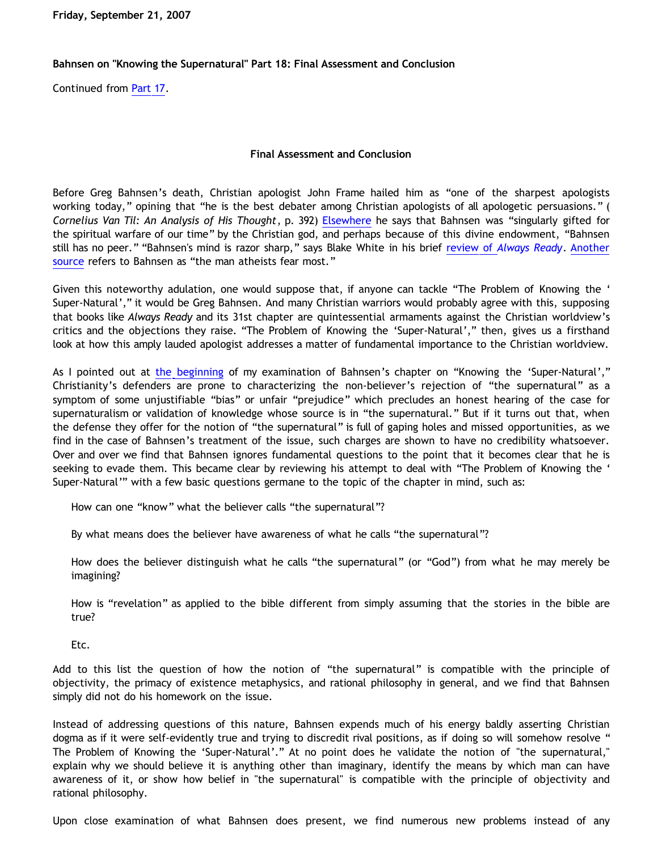**Friday, September 21, 2007**

## **Bahnsen on "Knowing the Supernatural" Part 18: Final Assessment and Conclusion**

Continued from [Part 17.](http://bahnsenburner.blogspot.com/2007/09/bahnsen-on-knowing-supernatural-part-17.html)

## **Final Assessment and Conclusion**

Before Greg Bahnsen's death, Christian apologist John Frame hailed him as "one of the sharpest apologists working today," opining that "he is the best debater among Christian apologists of all apologetic persuasions." ( *Cornelius Van Til: An Analysis of His Thought*, p. 392) [Elsewhere](http://www.frame-poythress.org/frame_articles/Bahnsen.htm) he says that Bahnsen was "singularly gifted for the spiritual warfare of our time" by the Christian god, and perhaps because of this divine endowment, "Bahnsen still has no peer." "Bahnsen's mind is razor sharp," says Blake White in his brief [review of](http://somethingbooked.blogspot.com/2007/06/always-ready.html) *[Always Ready](http://somethingbooked.blogspot.com/2007/06/always-ready.html)*. [Another](http://mywebpages.comcast.net/webpages54/ap/biobahn.html) [source](http://mywebpages.comcast.net/webpages54/ap/biobahn.html) refers to Bahnsen as "the man atheists fear most."

Given this noteworthy adulation, one would suppose that, if anyone can tackle "The Problem of Knowing the ' Super-Natural'," it would be Greg Bahnsen. And many Christian warriors would probably agree with this, supposing that books like *Always Ready* and its 31st chapter are quintessential armaments against the Christian worldview's critics and the objections they raise. "The Problem of Knowing the 'Super-Natural'," then, gives us a firsthand look at how this amply lauded apologist addresses a matter of fundamental importance to the Christian worldview.

As I pointed out at [the beginning](http://bahnsenburner.blogspot.com/2007/08/bahnsen-on-knowing-supernatural-part-1.html) of my examination of Bahnsen's chapter on "Knowing the 'Super-Natural'," Christianity's defenders are prone to characterizing the non-believer's rejection of "the supernatural" as a symptom of some unjustifiable "bias" or unfair "prejudice" which precludes an honest hearing of the case for supernaturalism or validation of knowledge whose source is in "the supernatural." But if it turns out that, when the defense they offer for the notion of "the supernatural" is full of gaping holes and missed opportunities, as we find in the case of Bahnsen's treatment of the issue, such charges are shown to have no credibility whatsoever. Over and over we find that Bahnsen ignores fundamental questions to the point that it becomes clear that he is seeking to evade them. This became clear by reviewing his attempt to deal with "The Problem of Knowing the ' Super-Natural'" with a few basic questions germane to the topic of the chapter in mind, such as:

How can one "know" what the believer calls "the supernatural"?

By what means does the believer have awareness of what he calls "the supernatural"?

How does the believer distinguish what he calls "the supernatural" (or "God") from what he may merely be imagining?

How is "revelation" as applied to the bible different from simply assuming that the stories in the bible are true?

Etc.

Add to this list the question of how the notion of "the supernatural" is compatible with the principle of objectivity, the primacy of existence metaphysics, and rational philosophy in general, and we find that Bahnsen simply did not do his homework on the issue.

Instead of addressing questions of this nature, Bahnsen expends much of his energy baldly asserting Christian dogma as if it were self-evidently true and trying to discredit rival positions, as if doing so will somehow resolve " The Problem of Knowing the 'Super-Natural'." At no point does he validate the notion of "the supernatural," explain why we should believe it is anything other than imaginary, identify the means by which man can have awareness of it, or show how belief in "the supernatural" is compatible with the principle of objectivity and rational philosophy.

Upon close examination of what Bahnsen does present, we find numerous new problems instead of any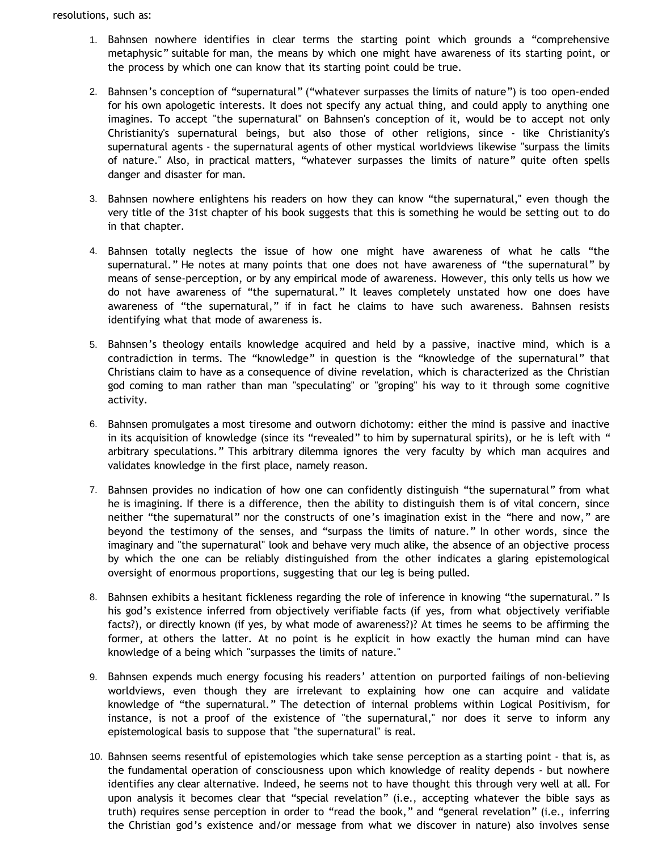- 1. Bahnsen nowhere identifies in clear terms the starting point which grounds a "comprehensive metaphysic" suitable for man, the means by which one might have awareness of its starting point, or the process by which one can know that its starting point could be true.
- 2. Bahnsen's conception of "supernatural" ("whatever surpasses the limits of nature") is too open-ended for his own apologetic interests. It does not specify any actual thing, and could apply to anything one imagines. To accept "the supernatural" on Bahnsen's conception of it, would be to accept not only Christianity's supernatural beings, but also those of other religions, since - like Christianity's supernatural agents - the supernatural agents of other mystical worldviews likewise "surpass the limits of nature." Also, in practical matters, "whatever surpasses the limits of nature" quite often spells danger and disaster for man.
- 3. Bahnsen nowhere enlightens his readers on how they can know "the supernatural," even though the very title of the 31st chapter of his book suggests that this is something he would be setting out to do in that chapter.
- 4. Bahnsen totally neglects the issue of how one might have awareness of what he calls "the supernatural." He notes at many points that one does not have awareness of "the supernatural" by means of sense-perception, or by any empirical mode of awareness. However, this only tells us how we do not have awareness of "the supernatural." It leaves completely unstated how one does have awareness of "the supernatural," if in fact he claims to have such awareness. Bahnsen resists identifying what that mode of awareness is.
- 5. Bahnsen's theology entails knowledge acquired and held by a passive, inactive mind, which is a contradiction in terms. The "knowledge" in question is the "knowledge of the supernatural" that Christians claim to have as a consequence of divine revelation, which is characterized as the Christian god coming to man rather than man "speculating" or "groping" his way to it through some cognitive activity.
- 6. Bahnsen promulgates a most tiresome and outworn dichotomy: either the mind is passive and inactive in its acquisition of knowledge (since its "revealed" to him by supernatural spirits), or he is left with " arbitrary speculations." This arbitrary dilemma ignores the very faculty by which man acquires and validates knowledge in the first place, namely reason.
- 7. Bahnsen provides no indication of how one can confidently distinguish "the supernatural" from what he is imagining. If there is a difference, then the ability to distinguish them is of vital concern, since neither "the supernatural" nor the constructs of one's imagination exist in the "here and now," are beyond the testimony of the senses, and "surpass the limits of nature." In other words, since the imaginary and "the supernatural" look and behave very much alike, the absence of an objective process by which the one can be reliably distinguished from the other indicates a glaring epistemological oversight of enormous proportions, suggesting that our leg is being pulled.
- 8. Bahnsen exhibits a hesitant fickleness regarding the role of inference in knowing "the supernatural." Is his god's existence inferred from objectively verifiable facts (if yes, from what objectively verifiable facts?), or directly known (if yes, by what mode of awareness?)? At times he seems to be affirming the former, at others the latter. At no point is he explicit in how exactly the human mind can have knowledge of a being which "surpasses the limits of nature."
- 9. Bahnsen expends much energy focusing his readers' attention on purported failings of non-believing worldviews, even though they are irrelevant to explaining how one can acquire and validate knowledge of "the supernatural." The detection of internal problems within Logical Positivism, for instance, is not a proof of the existence of "the supernatural," nor does it serve to inform any epistemological basis to suppose that "the supernatural" is real.
- 10. Bahnsen seems resentful of epistemologies which take sense perception as a starting point that is, as the fundamental operation of consciousness upon which knowledge of reality depends - but nowhere identifies any clear alternative. Indeed, he seems not to have thought this through very well at all. For upon analysis it becomes clear that "special revelation" (i.e., accepting whatever the bible says as truth) requires sense perception in order to "read the book," and "general revelation" (i.e., inferring the Christian god's existence and/or message from what we discover in nature) also involves sense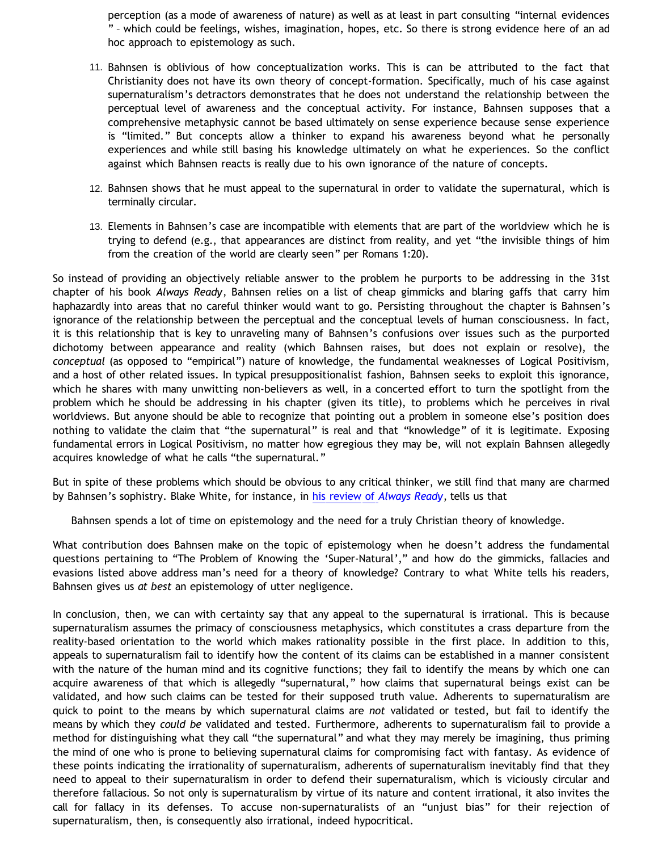perception (as a mode of awareness of nature) as well as at least in part consulting "internal evidences " – which could be feelings, wishes, imagination, hopes, etc. So there is strong evidence here of an ad hoc approach to epistemology as such.

- 11. Bahnsen is oblivious of how conceptualization works. This is can be attributed to the fact that Christianity does not have its own theory of concept-formation. Specifically, much of his case against supernaturalism's detractors demonstrates that he does not understand the relationship between the perceptual level of awareness and the conceptual activity. For instance, Bahnsen supposes that a comprehensive metaphysic cannot be based ultimately on sense experience because sense experience is "limited." But concepts allow a thinker to expand his awareness beyond what he personally experiences and while still basing his knowledge ultimately on what he experiences. So the conflict against which Bahnsen reacts is really due to his own ignorance of the nature of concepts.
- 12. Bahnsen shows that he must appeal to the supernatural in order to validate the supernatural, which is terminally circular.
- 13. Elements in Bahnsen's case are incompatible with elements that are part of the worldview which he is trying to defend (e.g., that appearances are distinct from reality, and yet "the invisible things of him from the creation of the world are clearly seen" per Romans 1:20).

So instead of providing an objectively reliable answer to the problem he purports to be addressing in the 31st chapter of his book *Always Ready*, Bahnsen relies on a list of cheap gimmicks and blaring gaffs that carry him haphazardly into areas that no careful thinker would want to go. Persisting throughout the chapter is Bahnsen's ignorance of the relationship between the perceptual and the conceptual levels of human consciousness. In fact, it is this relationship that is key to unraveling many of Bahnsen's confusions over issues such as the purported dichotomy between appearance and reality (which Bahnsen raises, but does not explain or resolve), the *conceptual* (as opposed to "empirical") nature of knowledge, the fundamental weaknesses of Logical Positivism, and a host of other related issues. In typical presuppositionalist fashion, Bahnsen seeks to exploit this ignorance, which he shares with many unwitting non-believers as well, in a concerted effort to turn the spotlight from the problem which he should be addressing in his chapter (given its title), to problems which he perceives in rival worldviews. But anyone should be able to recognize that pointing out a problem in someone else's position does nothing to validate the claim that "the supernatural" is real and that "knowledge" of it is legitimate. Exposing fundamental errors in Logical Positivism, no matter how egregious they may be, will not explain Bahnsen allegedly acquires knowledge of what he calls "the supernatural."

But in spite of these problems which should be obvious to any critical thinker, we still find that many are charmed by Bahnsen's sophistry. Blake White, for instance, in [his review of](http://somethingbooked.blogspot.com/2007/06/always-ready.html) *[Always Ready](http://somethingbooked.blogspot.com/2007/06/always-ready.html)*, tells us that

Bahnsen spends a lot of time on epistemology and the need for a truly Christian theory of knowledge.

What contribution does Bahnsen make on the topic of epistemology when he doesn't address the fundamental questions pertaining to "The Problem of Knowing the 'Super-Natural'," and how do the gimmicks, fallacies and evasions listed above address man's need for a theory of knowledge? Contrary to what White tells his readers, Bahnsen gives us *at best* an epistemology of utter negligence.

In conclusion, then, we can with certainty say that any appeal to the supernatural is irrational. This is because supernaturalism assumes the primacy of consciousness metaphysics, which constitutes a crass departure from the reality-based orientation to the world which makes rationality possible in the first place. In addition to this, appeals to supernaturalism fail to identify how the content of its claims can be established in a manner consistent with the nature of the human mind and its cognitive functions; they fail to identify the means by which one can acquire awareness of that which is allegedly "supernatural," how claims that supernatural beings exist can be validated, and how such claims can be tested for their supposed truth value. Adherents to supernaturalism are quick to point to the means by which supernatural claims are *not* validated or tested, but fail to identify the means by which they *could be* validated and tested. Furthermore, adherents to supernaturalism fail to provide a method for distinguishing what they call "the supernatural" and what they may merely be imagining, thus priming the mind of one who is prone to believing supernatural claims for compromising fact with fantasy. As evidence of these points indicating the irrationality of supernaturalism, adherents of supernaturalism inevitably find that they need to appeal to their supernaturalism in order to defend their supernaturalism, which is viciously circular and therefore fallacious. So not only is supernaturalism by virtue of its nature and content irrational, it also invites the call for fallacy in its defenses. To accuse non-supernaturalists of an "unjust bias" for their rejection of supernaturalism, then, is consequently also irrational, indeed hypocritical.